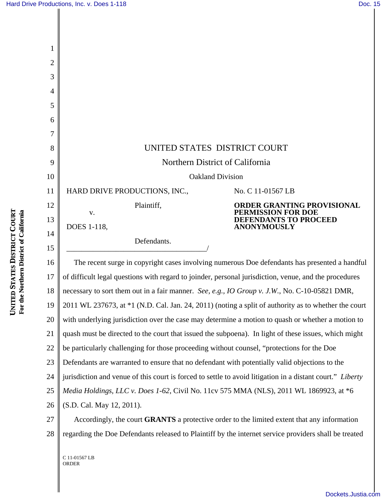| 2  |                                                                                                           |
|----|-----------------------------------------------------------------------------------------------------------|
| 3  |                                                                                                           |
| 4  |                                                                                                           |
| 5  |                                                                                                           |
| 6  |                                                                                                           |
|    |                                                                                                           |
| 8  | UNITED STATES DISTRICT COURT                                                                              |
| 9  | Northern District of California                                                                           |
| 10 | <b>Oakland Division</b>                                                                                   |
| 11 | HARD DRIVE PRODUCTIONS, INC.,<br>No. C 11-01567 LB                                                        |
| 12 | Plaintiff,<br><b>ORDER GRANTING PROVISIONAL</b>                                                           |
| 13 | PERMISSION FOR DOE<br>${\bf V}$ .<br><b>DEFENDANTS TO PROCEED</b><br><b>ANONYMOUSLY</b><br>DOES 1-118,    |
| 14 | Defendants.                                                                                               |
| 15 |                                                                                                           |
| 16 | The recent surge in copyright cases involving numerous Doe defendants has presented a handful             |
| 17 | of difficult legal questions with regard to joinder, personal jurisdiction, venue, and the procedures     |
| 18 | necessary to sort them out in a fair manner. See, e.g., IO Group v. J.W., No. C-10-05821 DMR,             |
| 19 | 2011 WL 237673, at *1 (N.D. Cal. Jan. 24, 2011) (noting a split of authority as to whether the court      |
| 20 | with underlying jurisdiction over the case may determine a motion to quash or whether a motion to         |
| 21 | quash must be directed to the court that issued the subpoena). In light of these issues, which might      |
| 22 | be particularly challenging for those proceeding without counsel, "protections for the Doe                |
| 23 | Defendants are warranted to ensure that no defendant with potentially valid objections to the             |
| 24 | jurisdiction and venue of this court is forced to settle to avoid litigation in a distant court." Liberty |
| 25 | Media Holdings, LLC v. Does 1-62, Civil No. 11cv 575 MMA (NLS), 2011 WL 1869923, at *6                    |
| 26 | (S.D. Cal. May 12, 2011).                                                                                 |
| 27 | Accordingly, the court <b>GRANTS</b> a protective order to the limited extent that any information        |
| 28 | regarding the Doe Defendants released to Plaintiff by the internet service providers shall be treated     |
|    | C 11-01567 LB                                                                                             |

ORDER